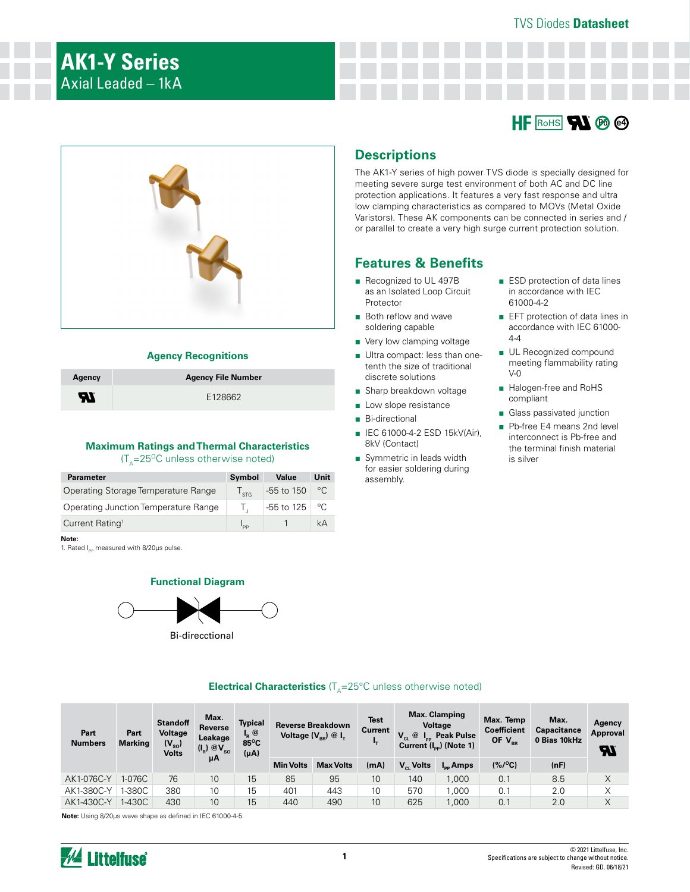



#### **Agency Recognitions**

| Agency | <b>Agency File Number</b> |
|--------|---------------------------|
| H      | E128662                   |

#### **Maximum Ratings and Thermal Characteristics**   $(T<sub>A</sub>=25<sup>o</sup>C$  unless otherwise noted)

| <b>Parameter</b>                     | Symbol        | Value        | Unit         |
|--------------------------------------|---------------|--------------|--------------|
| Operating Storage Temperature Range  | $\frac{1}{5}$ | $-55$ to 150 | °C           |
| Operating Junction Temperature Range |               | $-55$ to 125 | $^{\circ}$ C |
| Current Rating <sup>1</sup>          | סם י          |              | kА           |
|                                      |               |              |              |

**Note:**

1. Rated I<sub>pp</sub> measured with 8/20us pulse.

#### **Functional Diagram**



Bi-direcctional

## **Descriptions**

The AK1-Y series of high power TVS diode is specially designed for meeting severe surge test environment of both AC and DC line protection applications. It features a very fast response and ultra low clamping characteristics as compared to MOVs (Metal Oxide Varistors). These AK components can be connected in series and / or parallel to create a very high surge current protection solution.

## **Features & Benefits**

- Recognized to UL 497B as an Isolated Loop Circuit **Protector**
- Both reflow and wave soldering capable
- Very low clamping voltage
- Ultra compact: less than onetenth the size of traditional discrete solutions
- Sharp breakdown voltage
- Low slope resistance
- Bi-directional
- IEC 61000-4-2 ESD 15kV(Air), 8kV (Contact)
- Symmetric in leads width for easier soldering during assembly.
- ESD protection of data lines in accordance with IEC 61000-4-2
- EFT protection of data lines in accordance with IEC 61000-  $A - A$
- UL Recognized compound meeting flammability rating  $V-0$
- Halogen-free and RoHS compliant
- Glass passivated junction
- Pb-free E4 means 2nd level interconnect is Pb-free and the terminal finish material is silver

| Part<br><b>Numbers</b> | Part<br><b>Marking</b> | <b>Standoff</b><br>Voltage<br>$(V_{\rm so})$<br><b>Volts</b> | Max.<br>Reverse<br>Leakage<br>$(I_R) @V_{SO}$ | Typical<br>@<br>"R"<br>85°C<br>$(\mu A)$ |                  | <b>Reverse Breakdown</b><br>Voltage $(V_{BR})$ @ $I_{T}$ | <b>Test</b><br>Current | $\circledcirc$<br>$V_{\rm CL}$ | <b>Max. Clamping</b><br><b>Voltage</b><br><b>Peak Pulse</b><br>Current $(I_{\text{eq}})$ (Note 1) | Max. Temp<br><b>Coefficient</b><br>OF $V_{BR}$ | Max.<br><b>Capacitance</b><br>0 Bias 10kHz | Agency<br>Approval<br>77 |
|------------------------|------------------------|--------------------------------------------------------------|-----------------------------------------------|------------------------------------------|------------------|----------------------------------------------------------|------------------------|--------------------------------|---------------------------------------------------------------------------------------------------|------------------------------------------------|--------------------------------------------|--------------------------|
|                        |                        |                                                              | μΑ                                            |                                          | <b>Min Volts</b> | <b>Max Volts</b>                                         | (mA)                   | $V_{\alpha}$ Volts             | $I_{\rm{eq}}$ Amps                                                                                | $(% / {}^{o}C)$                                | (nF)                                       |                          |
| AK1-076C-Y             | 1-076C                 | 76                                                           | 10                                            | 15                                       | 85               | 95                                                       | 10                     | 140                            | 1.000                                                                                             | 0.1                                            | 8.5                                        | X                        |
| AK1-380C-Y             | $-380C$                | 380                                                          | 10                                            | 15                                       | 401              | 443                                                      | 10                     | 570                            | 1.000                                                                                             | 0.1                                            | 2.0                                        | Χ                        |
| AK1-430C-Y             | I-430C                 | 430                                                          | 10                                            | 15                                       | 440              | 490                                                      | 10                     | 625                            | 1.000                                                                                             | 0.1                                            | 2.0                                        | Χ                        |

#### **Electrical Characteristics**  $(T_A = 25^{\circ}C$  unless otherwise noted)

**Note:** Using 8/20μs wave shape as defined in IEC 61000-4-5.

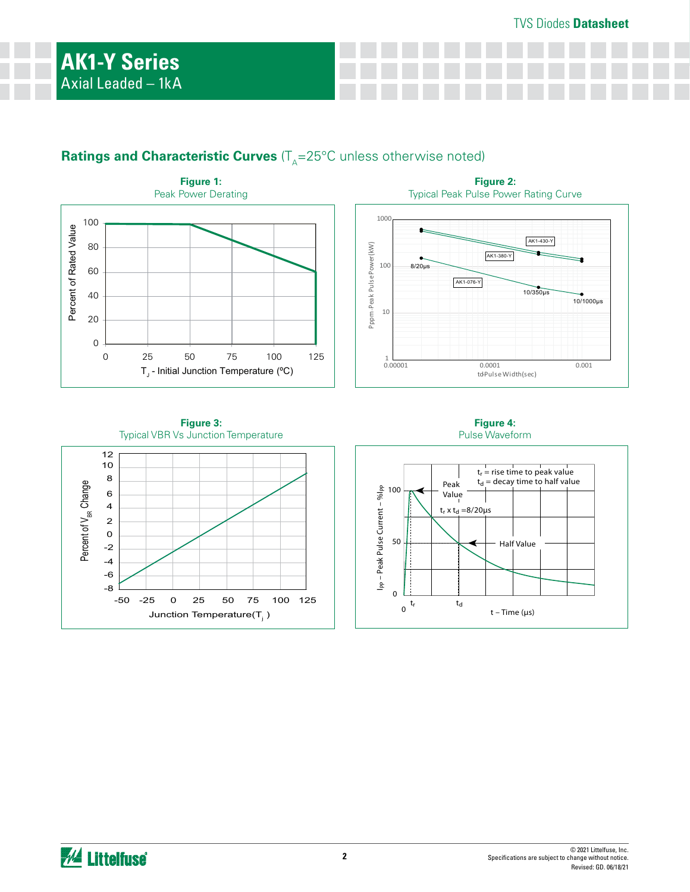# **Ratings and Characteristic Curves** (T<sub>A</sub>=25°C unless otherwise noted)



**Figure 3:** Typical VBR Vs Junction Temperature



**Figure 4:** Pulse Waveform

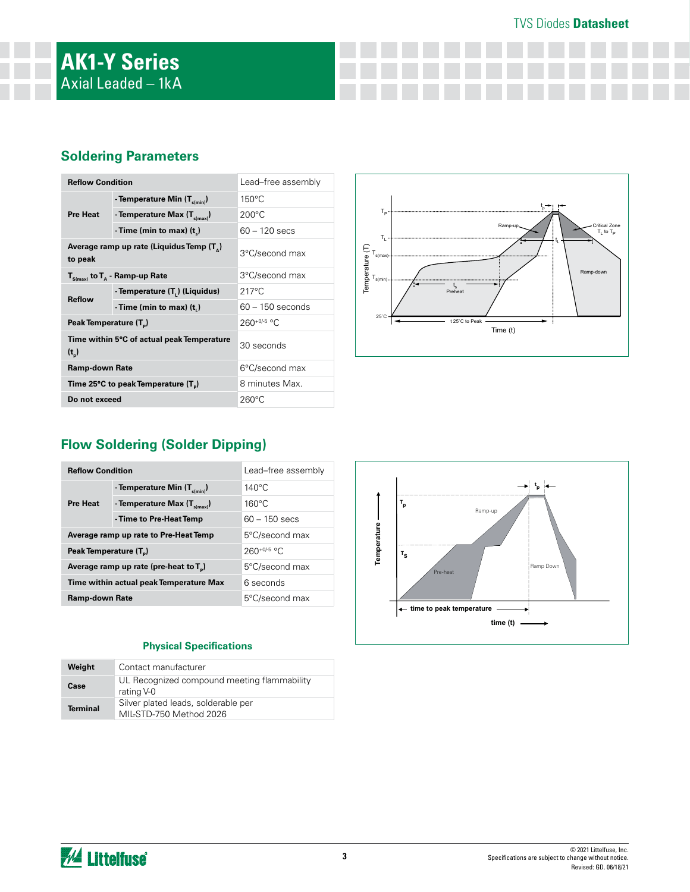## TVS Diodes **Datasheet**

## **Soldering Parameters**

| <b>Reflow Condition</b>                               |                                                       | Lead-free assembly |  |
|-------------------------------------------------------|-------------------------------------------------------|--------------------|--|
|                                                       | - Temperature Min $(T_{\text{s/min}})$                | $150^{\circ}$ C    |  |
| <b>Pre Heat</b>                                       | - Temperature Max $(T_{\text{sum}})$                  | $200^{\circ}$ C    |  |
|                                                       | - Time (min to max) $(tn)$                            | $60 - 120$ secs    |  |
| to peak                                               | Average ramp up rate (Liquidus Temp (T <sub>^</sub> ) | 3°C/second max     |  |
|                                                       | $T_{S(max)}$ to $T_A$ - Ramp-up Rate                  | 3°C/second max     |  |
| <b>Reflow</b>                                         | - Temperature (T.) (Liquidus)                         | $217^{\circ}$ C    |  |
|                                                       | -Time (min to max) $(ti)$                             | $60 - 150$ seconds |  |
| Peak Temperature (T <sub>n</sub> )                    |                                                       | $260+0/5$ °C       |  |
| Time within 5°C of actual peak Temperature<br>$(t_n)$ |                                                       | 30 seconds         |  |
| <b>Ramp-down Rate</b>                                 |                                                       | 6°C/second max     |  |
|                                                       | Time 25°C to peak Temperature (T <sub>a</sub> )       | 8 minutes Max.     |  |
| Do not exceed                                         |                                                       | $260^{\circ}$ C    |  |



# **Flow Soldering (Solder Dipping)**

| <b>Reflow Condition</b>            |                                           | Lead-free assembly |
|------------------------------------|-------------------------------------------|--------------------|
| <b>Pre Heat</b>                    | - Temperature Min $(T_{s(min)})$          | $140^{\circ}$ C    |
|                                    | - Temperature Max $(T_{\text{simax}})$    | $160^{\circ}$ C    |
|                                    | - Time to Pre-Heat Temp                   | $60 - 150$ secs    |
|                                    | Average ramp up rate to Pre-Heat Temp     | 5°C/second max     |
| Peak Temperature (T <sub>a</sub> ) |                                           | $260+0/5$ °C       |
|                                    | Average ramp up rate (pre-heat to $T_p$ ) | 5°C/second max     |
|                                    | Time within actual peak Temperature Max   | 6 seconds          |
| <b>Ramp-down Rate</b>              |                                           | 5°C/second max     |

### **Physical Specifications**

| Weight          | Contact manufacturer                                           |
|-----------------|----------------------------------------------------------------|
| Case            | UL Recognized compound meeting flammability<br>rating V-0      |
| <b>Terminal</b> | Silver plated leads, solderable per<br>MIL-STD-750 Method 2026 |